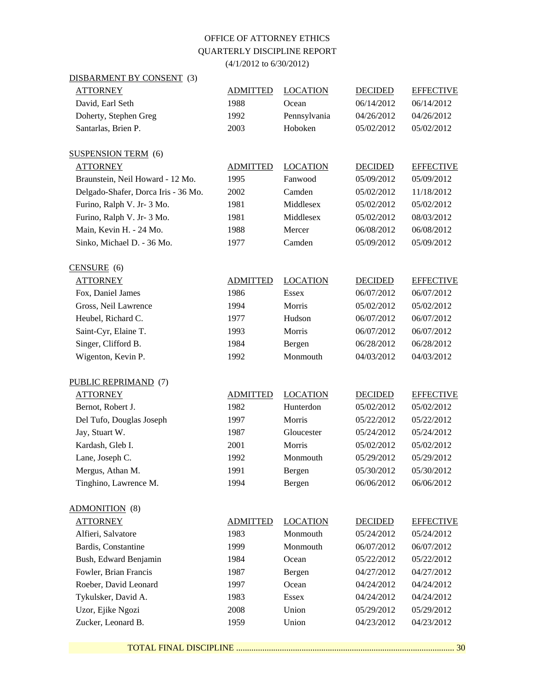## OFFICE OF ATTORNEY ETHICS QUARTERLY DISCIPLINE REPORT

(4/1/2012 to 6/30/2012)

DISBARMENT BY CONSENT (3)

| <b>ATTORNEY</b>                     | <b>ADMITTED</b> | <b>LOCATION</b> | <b>DECIDED</b> | <b>EFFECTIVE</b> |
|-------------------------------------|-----------------|-----------------|----------------|------------------|
| David, Earl Seth                    | 1988            | Ocean           | 06/14/2012     | 06/14/2012       |
| Doherty, Stephen Greg               | 1992            | Pennsylvania    | 04/26/2012     | 04/26/2012       |
| Santarlas, Brien P.                 | 2003            | Hoboken         | 05/02/2012     | 05/02/2012       |
|                                     |                 |                 |                |                  |
| <b>SUSPENSION TERM</b> (6)          |                 |                 |                |                  |
| <b>ATTORNEY</b>                     | <b>ADMITTED</b> | <b>LOCATION</b> | <b>DECIDED</b> | <b>EFFECTIVE</b> |
| Braunstein, Neil Howard - 12 Mo.    | 1995            | Fanwood         | 05/09/2012     | 05/09/2012       |
| Delgado-Shafer, Dorca Iris - 36 Mo. | 2002            | Camden          | 05/02/2012     | 11/18/2012       |
| Furino, Ralph V. Jr- 3 Mo.          | 1981            | Middlesex       | 05/02/2012     | 05/02/2012       |
| Furino, Ralph V. Jr- 3 Mo.          | 1981            | Middlesex       | 05/02/2012     | 08/03/2012       |
| Main, Kevin H. - 24 Mo.             | 1988            | Mercer          | 06/08/2012     | 06/08/2012       |
| Sinko, Michael D. - 36 Mo.          | 1977            | Camden          | 05/09/2012     | 05/09/2012       |
| $CENSURE$ (6)                       |                 |                 |                |                  |
| <b>ATTORNEY</b>                     | <b>ADMITTED</b> | <b>LOCATION</b> | <b>DECIDED</b> | <b>EFFECTIVE</b> |
| Fox, Daniel James                   | 1986            | <b>Essex</b>    | 06/07/2012     | 06/07/2012       |
| Gross, Neil Lawrence                | 1994            | Morris          | 05/02/2012     | 05/02/2012       |
| Heubel, Richard C.                  | 1977            | Hudson          | 06/07/2012     | 06/07/2012       |
| Saint-Cyr, Elaine T.                | 1993            | Morris          | 06/07/2012     | 06/07/2012       |
| Singer, Clifford B.                 | 1984            | Bergen          | 06/28/2012     | 06/28/2012       |
| Wigenton, Kevin P.                  | 1992            | Monmouth        | 04/03/2012     | 04/03/2012       |
|                                     |                 |                 |                |                  |
| PUBLIC REPRIMAND (7)                |                 |                 |                |                  |
| <b>ATTORNEY</b>                     | <b>ADMITTED</b> | <b>LOCATION</b> | <b>DECIDED</b> | <b>EFFECTIVE</b> |
| Bernot, Robert J.                   | 1982            | Hunterdon       | 05/02/2012     | 05/02/2012       |
| Del Tufo, Douglas Joseph            | 1997            | Morris          | 05/22/2012     | 05/22/2012       |
| Jay, Stuart W.                      | 1987            | Gloucester      | 05/24/2012     | 05/24/2012       |
| Kardash, Gleb I.                    | 2001            | Morris          | 05/02/2012     | 05/02/2012       |
| Lane, Joseph C.                     | 1992            | Monmouth        | 05/29/2012     | 05/29/2012       |
| Mergus, Athan M.                    | 1991            | Bergen          | 05/30/2012     | 05/30/2012       |
| Tinghino, Lawrence M.               | 1994            | Bergen          | 06/06/2012     | 06/06/2012       |
| ADMONITION (8)                      |                 |                 |                |                  |
| <b>ATTORNEY</b>                     | <b>ADMITTED</b> | <b>LOCATION</b> | <b>DECIDED</b> | <b>EFFECTIVE</b> |
| Alfieri, Salvatore                  | 1983            | Monmouth        | 05/24/2012     | 05/24/2012       |
| Bardis, Constantine                 | 1999            | Monmouth        | 06/07/2012     | 06/07/2012       |
| Bush, Edward Benjamin               | 1984            | Ocean           | 05/22/2012     | 05/22/2012       |
| Fowler, Brian Francis               | 1987            | Bergen          | 04/27/2012     | 04/27/2012       |
| Roeber, David Leonard               | 1997            | Ocean           | 04/24/2012     | 04/24/2012       |
| Tykulsker, David A.                 | 1983            | <b>Essex</b>    | 04/24/2012     | 04/24/2012       |
| Uzor, Ejike Ngozi                   | 2008            | Union           | 05/29/2012     | 05/29/2012       |
| Zucker, Leonard B.                  | 1959            | Union           | 04/23/2012     | 04/23/2012       |
|                                     |                 |                 |                |                  |

TOTAL FINAL DISCIPLINE .................................................................................................... 30